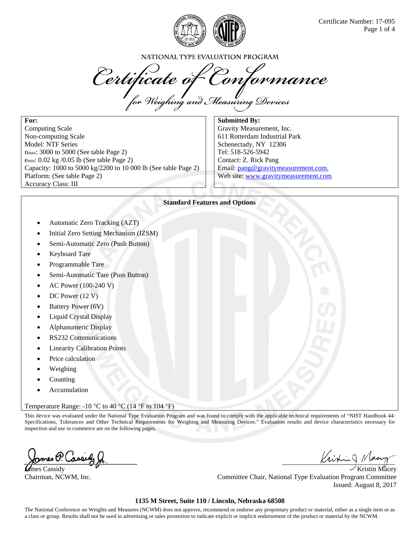

NATIONAL TYPE EVALUATION PROGRAM

Certificate of Conformance

**For:**  Computing Scale Non-computing Scale Model: NTF Series nmax: 3000 to 5000 (See table Page 2) emin: 0.02 kg /0.05 lb (See table Page 2) Capacity: 1000 to 5000 kg/2200 to 10 000 lb (See table Page 2) Platform: (See table Page 2) Accuracy Class: III

**Submitted By:**  Gravity Measurement, Inc. 611 Rotterdam Industrial Park Schenectady, NY 12306 Tel: 518-526-5942 Contact: Z. Rick Pang Email: pang@gravitymeasurement.com. Web site: www.gravitymeasurement.com

### **Standard Features and Options**

- Automatic Zero Tracking (AZT)
- Initial Zero Setting Mechanism (IZSM)
- Semi-Automatic Zero (Push Button)
- Keyboard Tare
- Programmable Tare
- Semi-Automatic Tare (Puss Button)
- AC Power (100-240 V)
- DC Power (12 V)
- Battery Power (6V)
- Liquid Crystal Display
- Alphanumeric Display
- RS232 Communications
- Linearity Calibration Points
- Price calculation
- Weighing
- Counting
- Accumulation

Temperature Range: -10 °C to 40 °C (14 °F to 104 °F)

This device was evaluated under the National Type Evaluation Program and was found to comply with the applicable technical requirements of "NIST Handbook 44: Specifications, Tolerances and Other Technical Requirements for Weighing and Measuring Devices." Evaluation results and device characteristics necessary for inspection and use in commerce are on the following pages.

zmes P. Cassid

Kristing N

**Let** the cassidy the cassidy the contract of the contract of the contract of the contract of the contract of the contract of the contract of the contract of the contract of the contract of the contract of the contract of Chairman, NCWM, Inc. Committee Chair, National Type Evaluation Program Committee Issued: August 8, 2017

### **1135 M Street, Suite 110 / Lincoln, Nebraska 68508**

The National Conference on Weights and Measures (NCWM) does not approve, recommend or endorse any proprietary product or material, either as a single item or as a class or group. Results shall not be used in advertising or sales promotion to indicate explicit or implicit endorsement of the product or material by the NCWM.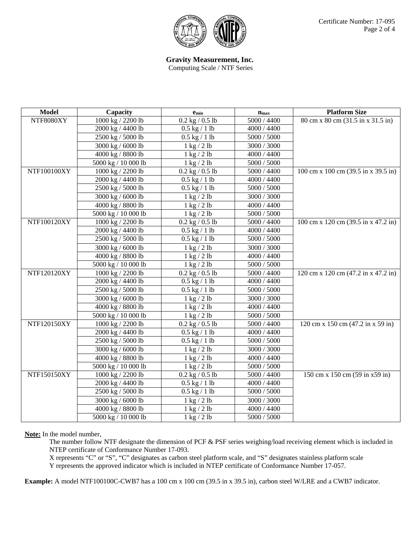

# **Gravity Measurement, Inc.**

Computing Scale / NTF Series

| <b>Model</b> | Capacity            | $e_{min}$                     | $n_{\rm max}$ | <b>Platform Size</b>                |
|--------------|---------------------|-------------------------------|---------------|-------------------------------------|
| NTF8080XY    | 1000 kg / 2200 lb   | $0.2$ kg $/ 0.5$ lb           | 5000 / 4400   | 80 cm x 80 cm (31.5 in x 31.5 in)   |
|              | 2000 kg / 4400 lb   | $0.5$ kg $/ 1$ lb             | 4000 / 4400   |                                     |
|              | 2500 kg / 5000 lb   | $0.5$ kg $/ 1$ lb             | 5000 / 5000   |                                     |
|              | 3000 kg / 6000 lb   | $1 \text{ kg} / 2 \text{ lb}$ | 3000 / 3000   |                                     |
|              | 4000 kg / 8800 lb   | $1 \text{ kg} / 2 \text{ lb}$ | 4000 / 4400   |                                     |
|              | 5000 kg / 10 000 lb | $1 \text{ kg} / 2 \text{ lb}$ | 5000 / 5000   |                                     |
| NTF100100XY  | 1000 kg / 2200 lb   | $0.2$ kg $/ 0.5$ lb           | 5000 / 4400   | 100 cm x 100 cm (39.5 in x 39.5 in) |
|              | 2000 kg / 4400 lb   | $0.5$ kg $/ 1$ lb             | 4000 / 4400   |                                     |
|              | 2500 kg / 5000 lb   | $0.5$ kg $/ 1$ lb             | 5000 / 5000   |                                     |
|              | 3000 kg / 6000 lb   | $1 \text{ kg} / 2 \text{ lb}$ | 3000 / 3000   |                                     |
|              | 4000 kg / 8800 lb   | $1 \text{ kg} / 2 \text{ lb}$ | 4000 / 4400   |                                     |
|              | 5000 kg / 10 000 lb | $1$ kg $/2$ lb                | 5000 / 5000   |                                     |
| NTF100120XY  | 1000 kg / 2200 lb   | $0.2$ kg $/ 0.5$ lb           | 5000 / 4400   | 100 cm x 120 cm (39.5 in x 47.2 in) |
|              | 2000 kg / 4400 lb   | $0.5$ kg $/ 1$ lb             | 4000 / 4400   |                                     |
|              | 2500 kg / 5000 lb   | $0.5$ kg $/ 1$ lb             | 5000 / 5000   |                                     |
|              | 3000 kg / 6000 lb   | $1 \text{ kg} / 2 \text{ lb}$ | 3000 / 3000   |                                     |
|              | 4000 kg / 8800 lb   | $1$ kg $/2$ lb                | 4000 / 4400   |                                     |
|              | 5000 kg / 10 000 lb | $1 \text{ kg} / 2 \text{ lb}$ | 5000 / 5000   |                                     |
| NTF120120XY  | 1000 kg / 2200 lb   | $0.2$ kg $/ 0.5$ lb           | 5000 / 4400   | 120 cm x 120 cm (47.2 in x 47.2 in) |
|              | 2000 kg / 4400 lb   | $0.5$ kg $/ 1$ lb             | 4000 / 4400   |                                     |
|              | 2500 kg / 5000 lb   | $0.5$ kg $/ 1$ lb             | 5000 / 5000   |                                     |
|              | 3000 kg / 6000 lb   | $1 \text{ kg} / 2 \text{ lb}$ | 3000 / 3000   |                                     |
|              | 4000 kg / 8800 lb   | $1$ kg $/2$ lb                | 4000 / 4400   |                                     |
|              | 5000 kg / 10 000 lb | $1$ kg $/2$ lb                | 5000 / 5000   |                                     |
| NTF120150XY  | 1000 kg / 2200 lb   | $0.2$ kg $/ 0.5$ lb           | 5000 / 4400   | 120 cm x 150 cm (47.2 in x 59 in)   |
|              | 2000 kg / 4400 lb   | $0.5$ kg $/ 1$ lb             | 4000 / 4400   |                                     |
|              | 2500 kg / 5000 lb   | $0.5$ kg $/ 1$ lb             | 5000 / 5000   |                                     |
|              | 3000 kg / 6000 lb   | $1 \text{ kg} / 2 \text{ lb}$ | 3000 / 3000   |                                     |
|              | 4000 kg / 8800 lb   | $1 \text{ kg} / 2 \text{ lb}$ | 4000 / 4400   |                                     |
|              | 5000 kg / 10 000 lb | $1$ kg $/2$ lb                | 5000 / 5000   |                                     |
| NTF150150XY  | 1000 kg / 2200 lb   | $0.2$ kg $/ 0.5$ lb           | 5000 / 4400   | 150 cm x 150 cm (59 in x59 in)      |
|              | 2000 kg / 4400 lb   | $0.5$ kg $/ 1$ lb             | 4000 / 4400   |                                     |
|              | 2500 kg / 5000 lb   | $0.5$ kg $/ 1$ lb             | 5000 / 5000   |                                     |
|              | 3000 kg / 6000 lb   | $1$ kg $/2$ lb                | 3000 / 3000   |                                     |
|              | 4000 kg / 8800 lb   | $1 \text{ kg} / 2 \text{ lb}$ | 4000 / 4400   |                                     |
|              | 5000 kg / 10 000 lb | $1 \text{ kg} / 2 \text{ lb}$ | 5000 / 5000   |                                     |

## **Note:** In the model number,

The number follow NTF designate the dimension of PCF & PSF series weighing/load receiving element which is included in NTEP certificate of Conformance Number 17-093.

X represents "C" or "S", "C" designates as carbon steel platform scale, and "S" designates stainless platform scale

Y represents the approved indicator which is included in NTEP certificate of Conformance Number 17-057.

**Example:** A model NTF100100C-CWB7 has a 100 cm x 100 cm (39.5 in x 39.5 in), carbon steel W/LRE and a CWB7 indicator.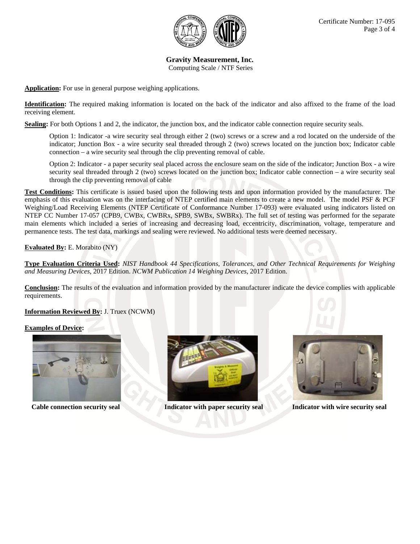

**Gravity Measurement, Inc.**  Computing Scale / NTF Series

**Application:** For use in general purpose weighing applications.

**Identification:** The required making information is located on the back of the indicator and also affixed to the frame of the load receiving element.

**Sealing:** For both Options 1 and 2, the indicator, the junction box, and the indicator cable connection require security seals.

Option 1: Indicator -a wire security seal through either 2 (two) screws or a screw and a rod located on the underside of the indicator; Junction Box - a wire security seal threaded through 2 (two) screws located on the junction box; Indicator cable connection – a wire security seal through the clip preventing removal of cable.

Option 2: Indicator - a paper security seal placed across the enclosure seam on the side of the indicator; Junction Box - a wire security seal threaded through 2 (two) screws located on the junction box; Indicator cable connection – a wire security seal through the clip preventing removal of cable

**Test Conditions:** This certificate is issued based upon the following tests and upon information provided by the manufacturer. The emphasis of this evaluation was on the interfacing of NTEP certified main elements to create a new model. The model PSF & PCF Weighing/Load Receiving Elements (NTEP Certificate of Conformance Number 17-093) were evaluated using indicators listed on NTEP CC Number 17-057 (CPB9, CWBx, CWBRx, SPB9, SWBx, SWBRx). The full set of testing was performed for the separate main elements which included a series of increasing and decreasing load, eccentricity, discrimination, voltage, temperature and permanence tests. The test data, markings and sealing were reviewed. No additional tests were deemed necessary.

**Evaluated By:** E. Morabito (NY)

**Type Evaluation Criteria Used:** *NIST Handbook 44 Specifications, Tolerances, and Other Technical Requirements for Weighing and Measuring Devices*, 2017 Edition. *NCWM Publication 14 Weighing Devices*, 2017 Edition.

**Conclusion:** The results of the evaluation and information provided by the manufacturer indicate the device complies with applicable requirements.

**Information Reviewed By:** J. Truex (NCWM)

#### **Examples of Device:**





**Cable connection security seal Indicator with paper security seal Indicator with wire security seal**